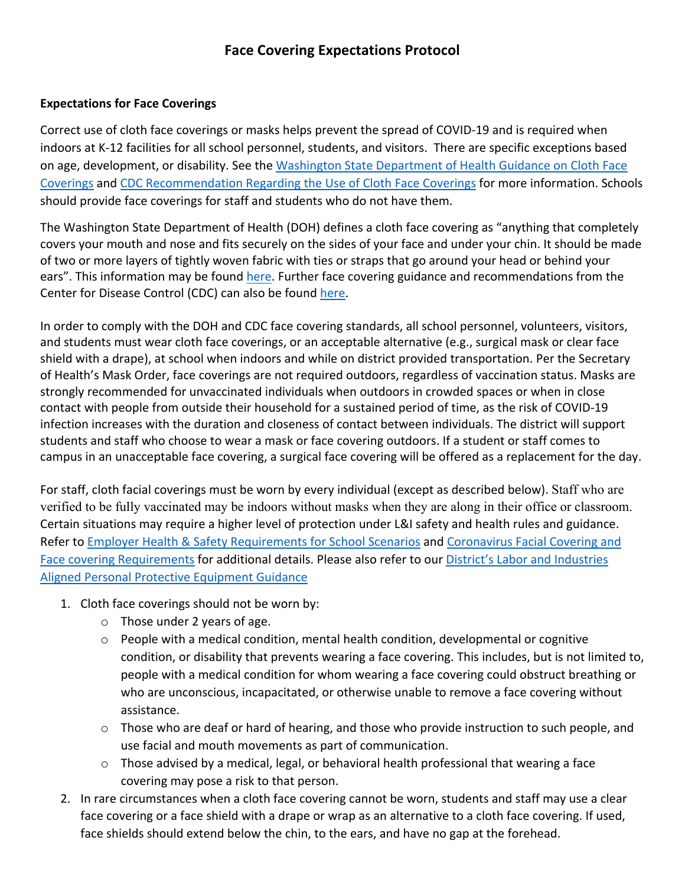### **Face Covering Expectations Protocol**

#### **Expectations for Face Coverings**

Correct use of cloth face coverings or masks helps prevent the spread of COVID-19 and is required when indoors at K-12 facilities for all school personnel, students, and visitors. There are specific exceptions based on age, development, or disability. See the Washington State Department of Health Guidance on Cloth Face Coverings and CDC Recommendation Regarding the Use of Cloth Face Coverings for more information. Schools should provide face coverings for staff and students who do not have them.

The Washington State Department of Health (DOH) defines a cloth face covering as "anything that completely covers your mouth and nose and fits securely on the sides of your face and under your chin. It should be made of two or more layers of tightly woven fabric with ties or straps that go around your head or behind your ears". This information may be found here. Further face covering guidance and recommendations from the Center for Disease Control (CDC) can also be found here.

In order to comply with the DOH and CDC face covering standards, all school personnel, volunteers, visitors, and students must wear cloth face coverings, or an acceptable alternative (e.g., surgical mask or clear face shield with a drape), at school when indoors and while on district provided transportation. Per the Secretary of Health's Mask Order, face coverings are not required outdoors, regardless of vaccination status. Masks are strongly recommended for unvaccinated individuals when outdoors in crowded spaces or when in close contact with people from outside their household for a sustained period of time, as the risk of COVID-19 infection increases with the duration and closeness of contact between individuals. The district will support students and staff who choose to wear a mask or face covering outdoors. If a student or staff comes to campus in an unacceptable face covering, a surgical face covering will be offered as a replacement for the day.

For staff, cloth facial coverings must be worn by every individual (except as described below). Staff who are verified to be fully vaccinated may be indoors without masks when they are along in their office or classroom. Certain situations may require a higher level of protection under L&I safety and health rules and guidance. Refer to Employer Health & Safety Requirements for School Scenarios and Coronavirus Facial Covering and Face covering Requirements for additional details. Please also refer to our District's Labor and Industries Aligned Personal Protective Equipment Guidance

- 1. Cloth face coverings should not be worn by:
	- o Those under 2 years of age.
	- o People with a medical condition, mental health condition, developmental or cognitive condition, or disability that prevents wearing a face covering. This includes, but is not limited to, people with a medical condition for whom wearing a face covering could obstruct breathing or who are unconscious, incapacitated, or otherwise unable to remove a face covering without assistance.
	- o Those who are deaf or hard of hearing, and those who provide instruction to such people, and use facial and mouth movements as part of communication.
	- $\circ$  Those advised by a medical, legal, or behavioral health professional that wearing a face covering may pose a risk to that person.
- 2. In rare circumstances when a cloth face covering cannot be worn, students and staff may use a clear face covering or a face shield with a drape or wrap as an alternative to a cloth face covering. If used, face shields should extend below the chin, to the ears, and have no gap at the forehead.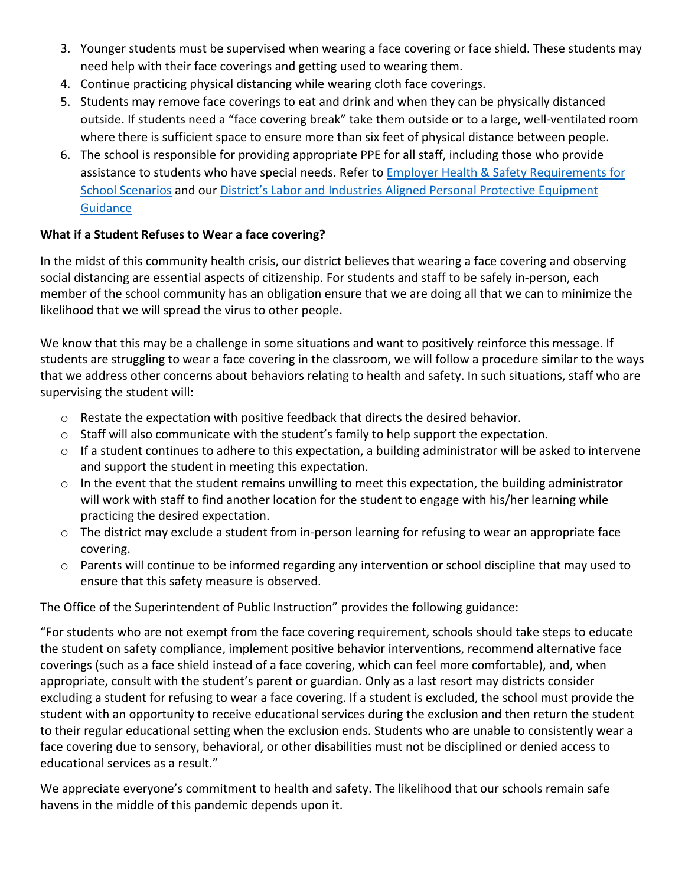- 3. Younger students must be supervised when wearing a face covering or face shield. These students may need help with their face coverings and getting used to wearing them.
- 4. Continue practicing physical distancing while wearing cloth face coverings.
- 5. Students may remove face coverings to eat and drink and when they can be physically distanced outside. If students need a "face covering break" take them outside or to a large, well-ventilated room where there is sufficient space to ensure more than six feet of physical distance between people.
- 6. The school is responsible for providing appropriate PPE for all staff, including those who provide assistance to students who have special needs. Refer to Employer Health & Safety Requirements for School Scenarios and our District's Labor and Industries Aligned Personal Protective Equipment **Guidance**

### **What if a Student Refuses to Wear a face covering?**

In the midst of this community health crisis, our district believes that wearing a face covering and observing social distancing are essential aspects of citizenship. For students and staff to be safely in-person, each member of the school community has an obligation ensure that we are doing all that we can to minimize the likelihood that we will spread the virus to other people.

We know that this may be a challenge in some situations and want to positively reinforce this message. If students are struggling to wear a face covering in the classroom, we will follow a procedure similar to the ways that we address other concerns about behaviors relating to health and safety. In such situations, staff who are supervising the student will:

- o Restate the expectation with positive feedback that directs the desired behavior.
- $\circ$  Staff will also communicate with the student's family to help support the expectation.
- $\circ$  If a student continues to adhere to this expectation, a building administrator will be asked to intervene and support the student in meeting this expectation.
- o In the event that the student remains unwilling to meet this expectation, the building administrator will work with staff to find another location for the student to engage with his/her learning while practicing the desired expectation.
- o The district may exclude a student from in-person learning for refusing to wear an appropriate face covering.
- o Parents will continue to be informed regarding any intervention or school discipline that may used to ensure that this safety measure is observed.

The Office of the Superintendent of Public Instruction" provides the following guidance:

"For students who are not exempt from the face covering requirement, schools should take steps to educate the student on safety compliance, implement positive behavior interventions, recommend alternative face coverings (such as a face shield instead of a face covering, which can feel more comfortable), and, when appropriate, consult with the student's parent or guardian. Only as a last resort may districts consider excluding a student for refusing to wear a face covering. If a student is excluded, the school must provide the student with an opportunity to receive educational services during the exclusion and then return the student to their regular educational setting when the exclusion ends. Students who are unable to consistently wear a face covering due to sensory, behavioral, or other disabilities must not be disciplined or denied access to educational services as a result."

We appreciate everyone's commitment to health and safety. The likelihood that our schools remain safe havens in the middle of this pandemic depends upon it.